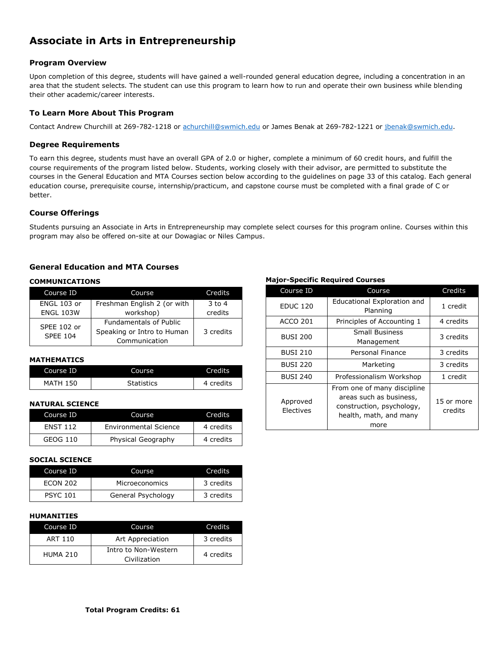# **Associate in Arts in Entrepreneurship**

# **Program Overview**

Upon completion of this degree, students will have gained a well-rounded general education degree, including a concentration in an area that the student selects. The student can use this program to learn how to run and operate their own business while blending their other academic/career interests.

# **To Learn More About This Program**

Contact Andrew Churchill at 269-782-1218 or [achurchill@swmich.edu](mailto:achurchill@swmich.edu) or James Benak at 269-782-1221 or [jbenak@swmich.edu.](mailto:jbenak@swmich.edu)

## **Degree Requirements**

To earn this degree, students must have an overall GPA of 2.0 or higher, complete a minimum of 60 credit hours, and fulfill the course requirements of the program listed below. Students, working closely with their advisor, are permitted to substitute the courses in the General Education and MTA Courses section below according to the guidelines on page 33 of this catalog. Each general education course, prerequisite course, internship/practicum, and capstone course must be completed with a final grade of C or better.

## **Course Offerings**

Students pursuing an Associate in Arts in Entrepreneurship may complete select courses for this program online. Courses within this program may also be offered on-site at our Dowagiac or Niles Campus.

# **General Education and MTA Courses**

## **COMMUNICATIONS**

| Course ID                      | Course                        | Credits   |
|--------------------------------|-------------------------------|-----------|
| ENGL 103 or                    | Freshman English 2 (or with   | $3$ to 4  |
| <b>ENGL 103W</b>               | workshop)                     | credits   |
| SPEE 102 or<br><b>SPEE 104</b> | <b>Fundamentals of Public</b> |           |
|                                | Speaking or Intro to Human    | 3 credits |
|                                | Communication                 |           |

# **MATHEMATICS**

| Course ID       | Course            | <b>Credits</b> |
|-----------------|-------------------|----------------|
| <b>MATH 150</b> | <b>Statistics</b> | 4 credits      |

## **NATURAL SCIENCE**

| Course ID       | Course                       | Credits   |
|-----------------|------------------------------|-----------|
| <b>FNST 112</b> | <b>Environmental Science</b> | 4 credits |
| GEOG 110        | Physical Geography           | 4 credits |

#### **SOCIAL SCIENCE**

| Course ID       | Course             | Credits   |
|-----------------|--------------------|-----------|
| <b>FCON 202</b> | Microeconomics     | 3 credits |
| <b>PSYC 101</b> | General Psychology | 3 credits |

#### **HUMANITIES**

| Course ID       | Course                               | Credits   |
|-----------------|--------------------------------------|-----------|
| ART 110         | Art Appreciation                     | 3 credits |
| <b>HUMA 210</b> | Intro to Non-Western<br>Civilization | 4 credits |

#### **Major-Specific Required Courses**

| Course ID             | Course                                                                                                                | Credits               |
|-----------------------|-----------------------------------------------------------------------------------------------------------------------|-----------------------|
| <b>EDUC 120</b>       | Educational Exploration and<br>Planning                                                                               | 1 credit              |
| <b>ACCO 201</b>       | Principles of Accounting 1                                                                                            | 4 credits             |
| <b>BUSI 200</b>       | <b>Small Business</b><br>Management                                                                                   | 3 credits             |
| <b>BUSI 210</b>       | Personal Finance                                                                                                      | 3 credits             |
| <b>BUSI 220</b>       | Marketing                                                                                                             | 3 credits             |
| <b>BUSI 240</b>       | Professionalism Workshop                                                                                              | 1 credit              |
| Approved<br>Electives | From one of many discipline<br>areas such as business,<br>construction, psychology,<br>health, math, and many<br>more | 15 or more<br>credits |